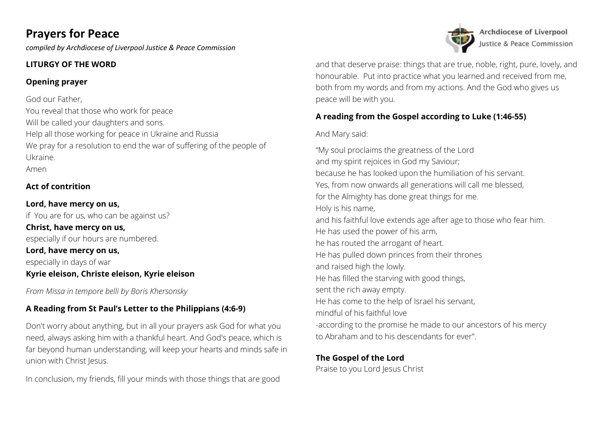# **Prayers for Peace**

*compiled by Archdiocese of Liverpool Justice & Peace Commission*

# **LITURGY OF THE WORD**

# **Opening prayer**

God our Father, You reveal that those who work for peace Will be called your daughters and sons. Help all those working for peace in Ukraine and Russia We pray for a resolution to end the war of suffering of the people of Ukraine. Amen

# **Act of contrition**

# **Lord, have mercy on us,** if You are for us, who can be against us? **Christ, have mercy on us,** especially if our hours are numbered. **Lord, have mercy on us,** especially in days of war **Kyrie eleison, Christe eleison, Kyrie eleison**

*From Missa in tempore belli by Boris Khersonsky*

# **A Reading from St Paul's Letter to the Philippians (4:6-9)**

Don't worry about anything, but in all your prayers ask God for what you need, always asking him with a thankful heart. And God's peace, which is far beyond human understanding, will keep your hearts and minds safe in union with Christ Jesus.

In conclusion, my friends, fill your minds with those things that are good



Archdiocese of Liverpool Justice & Peace Commission

and that deserve praise: things that are true, noble, right, pure, lovely, and honourable. Put into practice what you learned and received from me, both from my words and from my actions. And the God who gives us peace will be with you.

# **A reading from the Gospel according to Luke (1:46-55)**

## And Mary said:

"My soul proclaims the greatness of the Lord and my spirit rejoices in God my Saviour; because he has looked upon the humiliation of his servant. Yes, from now onwards all generations will call me blessed, for the Almighty has done great things for me. Holy is his name, and his faithful love extends age after age to those who fear him. He has used the power of his arm, he has routed the arrogant of heart. He has pulled down princes from their thrones and raised high the lowly. He has filled the starving with good things, sent the rich away empty. He has come to the help of Israel his servant, mindful of his faithful love -according to the promise he made to our ancestors of his mercy to Abraham and to his descendants for ever".

## **The Gospel of the Lord**

Praise to you Lord Jesus Christ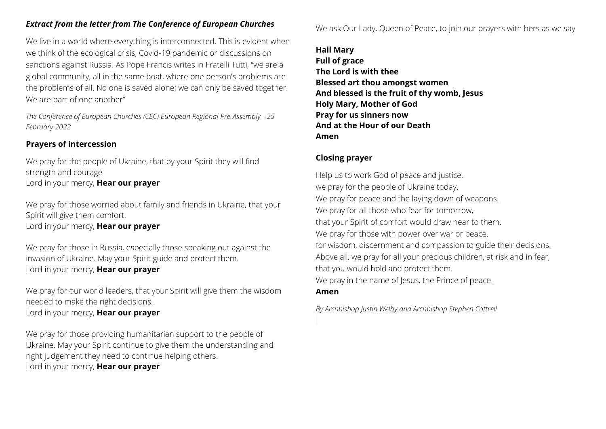## *Extract from the letter from The Conference of European Churches*

We live in a world where everything is interconnected. This is evident when we think of the ecological crisis, Covid-19 pandemic or discussions on sanctions against Russia. As Pope Francis writes in Fratelli Tutti, "we are a global community, all in the same boat, where one person's problems are the problems of all. No one is saved alone; we can only be saved together. We are part of one another"

*The Conference of European Churches (CEC) European Regional Pre-Assembly - 25 February 2022*

## **Prayers of intercession**

We pray for the people of Ukraine, that by your Spirit they will find strength and courage Lord in your mercy, **Hear our prayer**

We pray for those worried about family and friends in Ukraine, that your Spirit will give them comfort. Lord in your mercy, **Hear our prayer**

We pray for those in Russia, especially those speaking out against the invasion of Ukraine. May your Spirit guide and protect them. Lord in your mercy, **Hear our prayer**

We pray for our world leaders, that your Spirit will give them the wisdom needed to make the right decisions. Lord in your mercy, **Hear our prayer**

We pray for those providing humanitarian support to the people of Ukraine. May your Spirit continue to give them the understanding and right judgement they need to continue helping others. Lord in your mercy, **Hear our prayer**

We ask Our Lady, Queen of Peace, to join our prayers with hers as we say

**Hail Mary Full of grace The Lord is with thee Blessed art thou amongst women And blessed is the fruit of thy womb, Jesus Holy Mary, Mother of God Pray for us sinners now And at the Hour of our Death Amen**

### **Closing prayer**

Help us to work God of peace and justice, we pray for the people of Ukraine today. We pray for peace and the laying down of weapons. We pray for all those who fear for tomorrow, that your Spirit of comfort would draw near to them. We pray for those with power over war or peace. for wisdom, discernment and compassion to guide their decisions. Above all, we pray for all your precious children, at risk and in fear, that you would hold and protect them. We pray in the name of Jesus, the Prince of peace.

#### **Amen**

*By Archbishop Justin Welby and Archbishop Stephen Cottrell*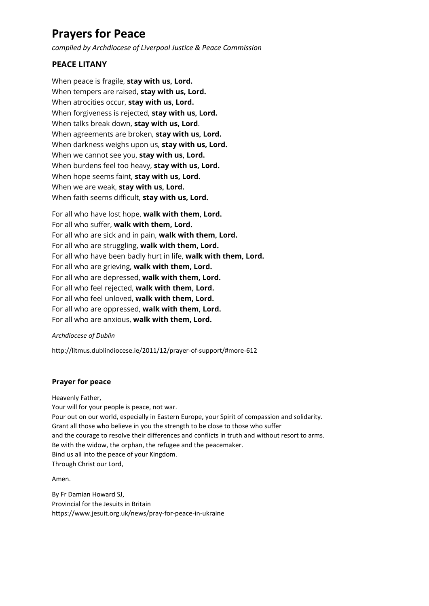# **Prayers for Peace**

*compiled by Archdiocese of Liverpool Justice & Peace Commission*

## **PEACE LITANY**

When peace is fragile, **stay with us, Lord.** When tempers are raised, **stay with us, Lord.** When atrocities occur, **stay with us, Lord.** When forgiveness is rejected, **stay with us, Lord.** When talks break down, **stay with us, Lord**. When agreements are broken, **stay with us, Lord.** When darkness weighs upon us, **stay with us, Lord.** When we cannot see you, **stay with us, Lord.** When burdens feel too heavy, **stay with us, Lord.** When hope seems faint, **stay with us, Lord.** When we are weak, **stay with us, Lord.** When faith seems difficult, **stay with us, Lord.**

For all who have lost hope, **walk with them, Lord.** For all who suffer, **walk with them, Lord.** For all who are sick and in pain, **walk with them, Lord.** For all who are struggling, **walk with them, Lord.** For all who have been badly hurt in life, **walk with them, Lord.** For all who are grieving, **walk with them, Lord.** For all who are depressed, **walk with them, Lord.** For all who feel rejected, **walk with them, Lord.** For all who feel unloved, **walk with them, Lord.** For all who are oppressed, **walk with them, Lord.** For all who are anxious, **walk with them, Lord.**

#### *Archdiocese of Dublin*

http://litmus.dublindiocese.ie/2011/12/prayer-of-support/#more-612

### **Prayer for peace**

Heavenly Father,

Your will for your people is peace, not war. Pour out on our world, especially in Eastern Europe, your Spirit of compassion and solidarity. Grant all those who believe in you the strength to be close to those who suffer and the courage to resolve their differences and conflicts in truth and without resort to arms. Be with the widow, the orphan, the refugee and the peacemaker. Bind us all into the peace of your Kingdom. Through Christ our Lord,

Amen.

By Fr Damian Howard SJ, Provincial for the Jesuits in Britain https://www.jesuit.org.uk/news/pray-for-peace-in-ukraine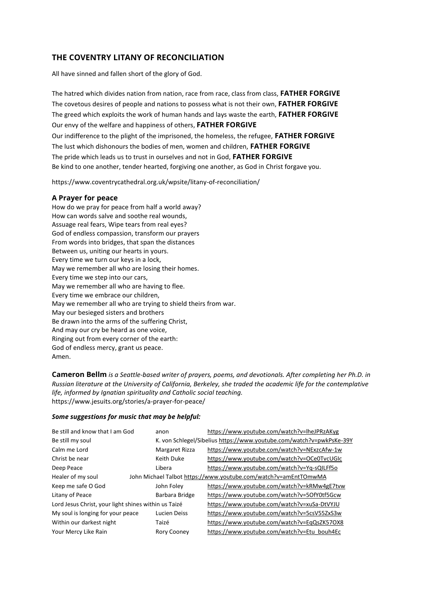## **THE COVENTRY LITANY OF RECONCILIATION**

All have sinned and fallen short of the glory of God.

The hatred which divides nation from nation, race from race, class from class, **FATHER FORGIVE** The covetous desires of people and nations to possess what is not their own, **FATHER FORGIVE** The greed which exploits the work of human hands and lays waste the earth, **FATHER FORGIVE** Our envy of the welfare and happiness of others, **FATHER FORGIVE** Our indifference to the plight of the imprisoned, the homeless, the refugee, **FATHER FORGIVE** The lust which dishonours the bodies of men, women and children, **FATHER FORGIVE** The pride which leads us to trust in ourselves and not in God, **FATHER FORGIVE** Be kind to one another, tender hearted, forgiving one another, as God in Christ forgave you.

https://www.coventrycathedral.org.uk/wpsite/litany-of-reconciliation/

#### **A Prayer for peace**

How do we pray for peace from half a world away? How can words salve and soothe real wounds, Assuage real fears, Wipe tears from real eyes? God of endless compassion, transform our prayers From words into bridges, that span the distances Between us, uniting our hearts in yours. Every time we turn our keys in a lock, May we remember all who are losing their homes. Every time we step into our cars, May we remember all who are having to flee. Every time we embrace our children, May we remember all who are trying to shield theirs from war. May our besieged sisters and brothers Be drawn into the arms of the suffering Christ, And may our cry be heard as one voice, Ringing out from every corner of the earth: God of endless mercy, grant us peace. Amen.

**Cameron Bellm** *is a Seattle-based writer of prayers, poems, and devotionals. After completing her Ph.D. in Russian literature at the University of California, Berkeley, she traded the academic life for the contemplative life, informed by Ignatian spirituality and Catholic social teaching.*  https://www.jesuits.org/stories/a-prayer-for-peace/

#### *Some suggestions for music that may be helpful:*

| Be still and know that I am God                                                      | anon               | https://www.youtube.com/watch?v=lheJPRzAKyg                          |
|--------------------------------------------------------------------------------------|--------------------|----------------------------------------------------------------------|
| Be still my soul                                                                     |                    | K. von Schlegel/Sibelius https://www.youtube.com/watch?v=pwkPsKe-39Y |
| Calm me Lord                                                                         | Margaret Rizza     | https://www.youtube.com/watch?v=NExzcAfw-1w                          |
| Christ be near                                                                       | Keith Duke         | https://www.youtube.com/watch?v=OCe0TvcUGIc                          |
| Deep Peace                                                                           | Libera             | https://www.youtube.com/watch?v=Yg-sQILFf5o                          |
| Healer of my soul<br>John Michael Talbot https://www.youtube.com/watch?v=amEntTOmwMA |                    |                                                                      |
| Keep me safe O God                                                                   | John Foley         | https://www.youtube.com/watch?v=kRMw4gE7tvw                          |
| Litany of Peace                                                                      | Barbara Bridge     | https://www.youtube.com/watch?v=5OfY0tf5Gcw                          |
| Lord Jesus Christ, your light shines within us Taizé                                 |                    | https://www.youtube.com/watch?v=xuSa-DtVYJU                          |
| My soul is longing for your peace                                                    | Lucien Deiss       | https://www.youtube.com/watch?v=5csV55ZxS3w                          |
| Within our darkest night                                                             | Taizé              | https://www.youtube.com/watch?v=EqQsZK57OX8                          |
| Your Mercy Like Rain                                                                 | <b>Rory Cooney</b> | https://www.youtube.com/watch?v=Etu_bouh4Ec                          |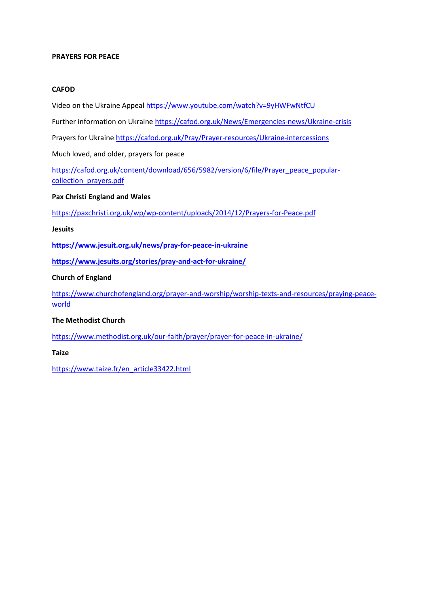#### **PRAYERS FOR PEACE**

#### **CAFOD**

Video on the Ukraine Appeal <https://www.youtube.com/watch?v=9yHWFwNtfCU>

Further information on Ukraine <https://cafod.org.uk/News/Emergencies-news/Ukraine-crisis>

Prayers for Ukraine <https://cafod.org.uk/Pray/Prayer-resources/Ukraine-intercessions>

Much loved, and older, prayers for peace

[https://cafod.org.uk/content/download/656/5982/version/6/file/Prayer\\_peace\\_popular](https://cafod.org.uk/content/download/656/5982/version/6/file/Prayer_peace_popular-collection_prayers.pdf)[collection\\_prayers.pdf](https://cafod.org.uk/content/download/656/5982/version/6/file/Prayer_peace_popular-collection_prayers.pdf)

#### **Pax Christi England and Wales**

<https://paxchristi.org.uk/wp/wp-content/uploads/2014/12/Prayers-for-Peace.pdf>

#### **Jesuits**

**<https://www.jesuit.org.uk/news/pray-for-peace-in-ukraine>**

**<https://www.jesuits.org/stories/pray-and-act-for-ukraine/>**

#### **Church of England**

[https://www.churchofengland.org/prayer-and-worship/worship-texts-and-resources/praying-peace](https://www.churchofengland.org/prayer-and-worship/worship-texts-and-resources/praying-peace-world)[world](https://www.churchofengland.org/prayer-and-worship/worship-texts-and-resources/praying-peace-world)

#### **The Methodist Church**

<https://www.methodist.org.uk/our-faith/prayer/prayer-for-peace-in-ukraine/>

**Taize**

[https://www.taize.fr/en\\_article33422.html](https://www.taize.fr/en_article33422.html)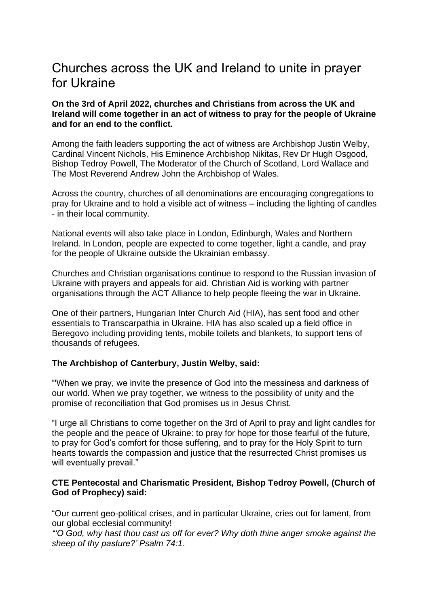# Churches across the UK and Ireland to unite in prayer for Ukraine

## **On the 3rd of April 2022, churches and Christians from across the UK and Ireland will come together in an act of witness to pray for the people of Ukraine and for an end to the conflict.**

Among the faith leaders supporting the act of witness are Archbishop Justin Welby, Cardinal Vincent Nichols, His Eminence Archbishop Nikitas, Rev Dr Hugh Osgood, Bishop Tedroy Powell, The Moderator of the Church of Scotland, Lord Wallace and The Most Reverend Andrew John the Archbishop of Wales.

Across the country, churches of all denominations are encouraging congregations to pray for Ukraine and to hold a visible act of witness – including the lighting of candles - in their local community.

National events will also take place in London, Edinburgh, Wales and Northern Ireland. In London, people are expected to come together, light a candle, and pray for the people of Ukraine outside the Ukrainian embassy.

Churches and Christian organisations continue to respond to the Russian invasion of Ukraine with prayers and appeals for aid. Christian Aid is working with partner organisations through the ACT Alliance to help people fleeing the war in Ukraine.

One of their partners, Hungarian Inter Church Aid (HIA), has sent food and other essentials to Transcarpathia in Ukraine. HIA has also scaled up a field office in Beregovo including providing tents, mobile toilets and blankets, to support tens of thousands of refugees.

## **The Archbishop of Canterbury, Justin Welby, said:**

"'When we pray, we invite the presence of God into the messiness and darkness of our world. When we pray together, we witness to the possibility of unity and the promise of reconciliation that God promises us in Jesus Christ.

"I urge all Christians to come together on the 3rd of April to pray and light candles for the people and the peace of Ukraine: to pray for hope for those fearful of the future, to pray for God's comfort for those suffering, and to pray for the Holy Spirit to turn hearts towards the compassion and justice that the resurrected Christ promises us will eventually prevail."

## **CTE Pentecostal and Charismatic President, Bishop Tedroy Powell, (Church of God of Prophecy) said:**

"Our current geo-political crises, and in particular Ukraine, cries out for lament, from our global ecclesial community!

*"'O God, why hast thou cast us off for ever? Why doth thine anger smoke against the sheep of thy pasture?' Psalm 74:1*.